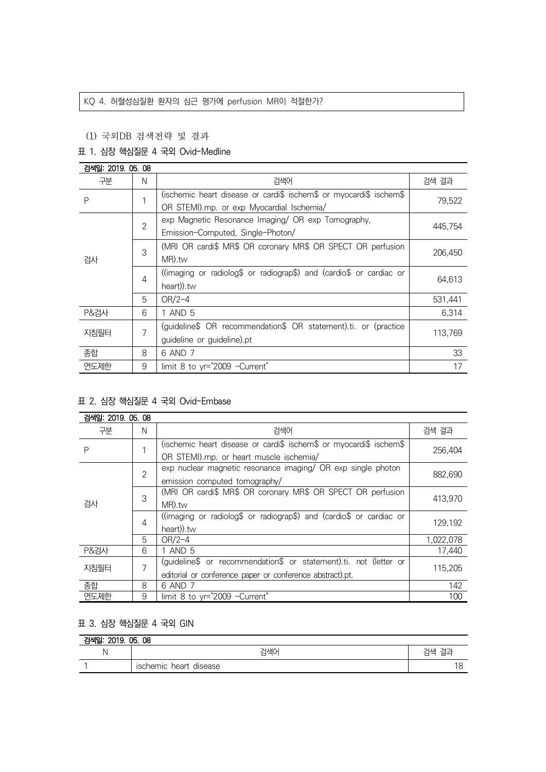# KQ 4. 허혈성심질환 환자의 심근 평가에 perfusion MR이 적절한가?

# (1) 국외DB 검색전략 및 결과

# 표 1. 심장 핵심질문 4 국외 Ovid-Medline

| 검색일: 2019, 05, 08 |                |                                                                     |         |  |
|-------------------|----------------|---------------------------------------------------------------------|---------|--|
| 구분                | N              | 검색어                                                                 | 검색 결과   |  |
| P                 |                | (ischemic heart disease or cardi\$ ischem\$ or myocardi\$ ischem\$  | 79,522  |  |
|                   |                | OR STEMI).mp. or exp Myocardial Ischemia/                           |         |  |
| 검사                | $\overline{2}$ | exp Magnetic Resonance Imaging/ OR exp Tomography,                  | 445.754 |  |
|                   |                | Emission-Computed, Single-Photon/                                   |         |  |
|                   | 3              | (MRI OR cardi\$ MR\$ OR coronary MR\$ OR SPECT OR perfusion         | 206,450 |  |
|                   |                | MR).tw                                                              |         |  |
|                   | $\overline{4}$ | ((imaging or radiolog\$ or radiograp\$) and (cardio\$ or cardiac or | 64,613  |  |
|                   |                | heart)).tw                                                          |         |  |
|                   | 5              | $OR/2-4$                                                            | 531,441 |  |
| <b>P&amp;검사</b>   | 6              | 1 AND 5                                                             | 6.314   |  |
| 지침필터              | 7              | (guideline\$ OR recommendation\$ OR statement).ti. or (practice     | 113,769 |  |
|                   |                | guideline or guideline).pt                                          |         |  |
| 종합                | 8              | 6 AND 7                                                             | 33      |  |
| 연도제한              | 9              | limit 8 to yr="2009 -Current"                                       | 17      |  |

# 표 2. 심장 핵심질문 4 국외 Ovid-Embase

| 검색일: 2019. 05. 08 |                |                                                                     |           |  |
|-------------------|----------------|---------------------------------------------------------------------|-----------|--|
| 구분                | N              | 검색어                                                                 | 검색 결과     |  |
| P                 |                | (ischemic heart disease or cardi\$ ischem\$ or myocardi\$ ischem\$  | 256,404   |  |
|                   |                | OR STEMI).mp. or heart muscle ischemia/                             |           |  |
| 검사                | $\overline{2}$ | exp nuclear magnetic resonance imaging/ OR exp single photon        |           |  |
|                   |                | emission computed tomography/                                       | 882,690   |  |
|                   | 3              | (MRI OR cardi\$ MR\$ OR coronary MR\$ OR SPECT OR perfusion         | 413,970   |  |
|                   |                | MR).tw                                                              |           |  |
|                   | $\overline{4}$ | ((imaging or radiolog\$ or radiograp\$) and (cardio\$ or cardiac or | 129,192   |  |
|                   |                | heart)).tw                                                          |           |  |
|                   | 5              | $OR/2-4$                                                            | 1,022,078 |  |
| <b>P&amp;검사</b>   | 6              | 1 AND 5                                                             | 17,440    |  |
| 지침필터              | 7              | (guideline\$ or recommendation\$ or statement).ti. not (letter or   | 115.205   |  |
|                   |                | editorial or conference paper or conference abstract).pt.           |           |  |
| 종합                | 8              | 6 AND 7                                                             | 142       |  |
| 연도제한              | 9              | limit 8 to yr="2009 -Current"                                       | 100       |  |

# 표 3. 심장 핵심질문 4 국외 GIN

| 2019. 05. 08<br>검색일: |                           |       |  |  |
|----------------------|---------------------------|-------|--|--|
| ∿⊧                   | 걱색0                       | 검색 결괴 |  |  |
|                      | ischemic heart<br>disease | 18    |  |  |